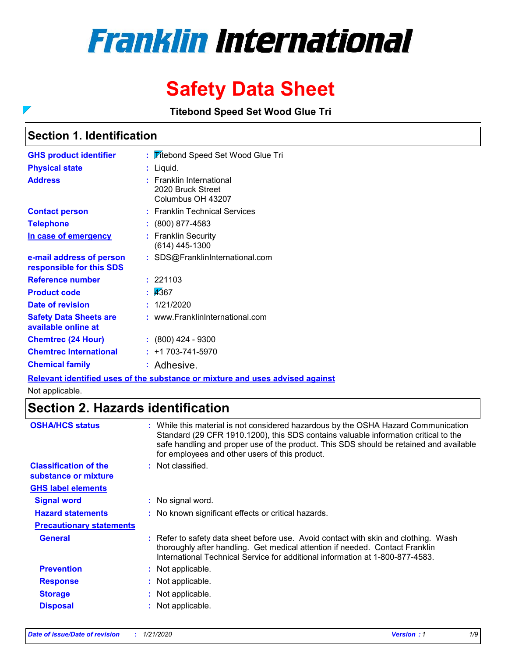# **Franklin International**

## **Safety Data Sheet**

**Titebond Speed Set Wood Glue Tri**

### **Section 1. Identification**

 $\overline{\phantom{0}}$ 

| : Titebond Speed Set Wood Glue Tri                                 |
|--------------------------------------------------------------------|
| : Liquid.                                                          |
| : Franklin International<br>2020 Bruck Street<br>Columbus OH 43207 |
| : Franklin Technical Services                                      |
| $: (800) 877 - 4583$                                               |
| : Franklin Security<br>(614) 445-1300                              |
| : SDS@FranklinInternational.com                                    |
| : 221103                                                           |
| : 4367                                                             |
| : 1/21/2020                                                        |
| : www.FranklinInternational.com                                    |
| $: (800)$ 424 - 9300                                               |
| $: +1703 - 741 - 5970$                                             |
| : Adhesive.                                                        |
|                                                                    |

**Relevant identified uses of the substance or mixture and uses advised against**

Not applicable.

### **Section 2. Hazards identification**

| <b>OSHA/HCS status</b>                               | : While this material is not considered hazardous by the OSHA Hazard Communication<br>Standard (29 CFR 1910.1200), this SDS contains valuable information critical to the<br>safe handling and proper use of the product. This SDS should be retained and available |
|------------------------------------------------------|---------------------------------------------------------------------------------------------------------------------------------------------------------------------------------------------------------------------------------------------------------------------|
|                                                      | for employees and other users of this product.                                                                                                                                                                                                                      |
| <b>Classification of the</b><br>substance or mixture | : Not classified.                                                                                                                                                                                                                                                   |
| <b>GHS label elements</b>                            |                                                                                                                                                                                                                                                                     |
| <b>Signal word</b>                                   | : No signal word.                                                                                                                                                                                                                                                   |
| <b>Hazard statements</b>                             | : No known significant effects or critical hazards.                                                                                                                                                                                                                 |
| <b>Precautionary statements</b>                      |                                                                                                                                                                                                                                                                     |
| <b>General</b>                                       | : Refer to safety data sheet before use. Avoid contact with skin and clothing. Wash<br>thoroughly after handling. Get medical attention if needed. Contact Franklin<br>International Technical Service for additional information at 1-800-877-4583.                |
| <b>Prevention</b>                                    | : Not applicable.                                                                                                                                                                                                                                                   |
| <b>Response</b>                                      | : Not applicable.                                                                                                                                                                                                                                                   |
| <b>Storage</b>                                       | : Not applicable.                                                                                                                                                                                                                                                   |
| <b>Disposal</b>                                      | : Not applicable.                                                                                                                                                                                                                                                   |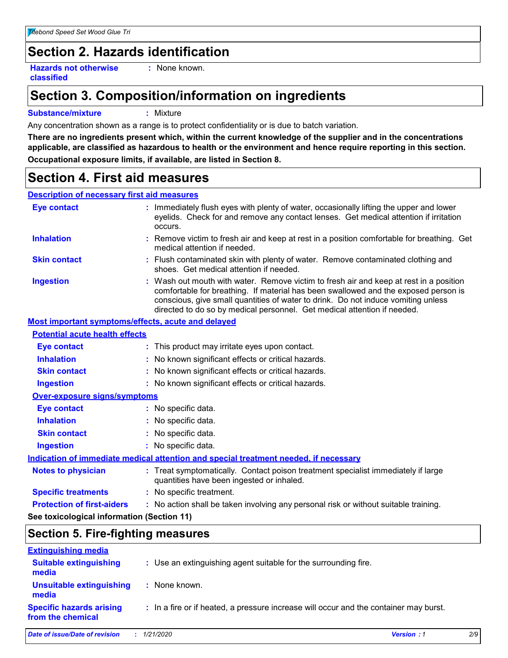### **Section 2. Hazards identification**

**Hazards not otherwise classified**

**:** None known.

### **Section 3. Composition/information on ingredients**

#### **Substance/mixture :** Mixture

Any concentration shown as a range is to protect confidentiality or is due to batch variation.

**There are no ingredients present which, within the current knowledge of the supplier and in the concentrations applicable, are classified as hazardous to health or the environment and hence require reporting in this section. Occupational exposure limits, if available, are listed in Section 8.**

### **Section 4. First aid measures**

#### **Description of necessary first aid measures**

| <b>Eye contact</b>                                 | : Immediately flush eyes with plenty of water, occasionally lifting the upper and lower<br>eyelids. Check for and remove any contact lenses. Get medical attention if irritation<br>occurs.                                                                                                                                                    |
|----------------------------------------------------|------------------------------------------------------------------------------------------------------------------------------------------------------------------------------------------------------------------------------------------------------------------------------------------------------------------------------------------------|
| <b>Inhalation</b>                                  | : Remove victim to fresh air and keep at rest in a position comfortable for breathing. Get<br>medical attention if needed.                                                                                                                                                                                                                     |
| <b>Skin contact</b>                                | : Flush contaminated skin with plenty of water. Remove contaminated clothing and<br>shoes. Get medical attention if needed.                                                                                                                                                                                                                    |
| <b>Ingestion</b>                                   | : Wash out mouth with water. Remove victim to fresh air and keep at rest in a position<br>comfortable for breathing. If material has been swallowed and the exposed person is<br>conscious, give small quantities of water to drink. Do not induce vomiting unless<br>directed to do so by medical personnel. Get medical attention if needed. |
| Most important symptoms/effects, acute and delayed |                                                                                                                                                                                                                                                                                                                                                |
| <b>Potential acute health effects</b>              |                                                                                                                                                                                                                                                                                                                                                |
| <b>Eye contact</b>                                 | : This product may irritate eyes upon contact.                                                                                                                                                                                                                                                                                                 |
| <b>Inhalation</b>                                  | : No known significant effects or critical hazards.                                                                                                                                                                                                                                                                                            |
| <b>Skin contact</b>                                | : No known significant effects or critical hazards.                                                                                                                                                                                                                                                                                            |
| <b>Ingestion</b>                                   | : No known significant effects or critical hazards.                                                                                                                                                                                                                                                                                            |
| Over-exposure signs/symptoms                       |                                                                                                                                                                                                                                                                                                                                                |
| <b>Eye contact</b>                                 | : No specific data.                                                                                                                                                                                                                                                                                                                            |
| <b>Inhalation</b>                                  | : No specific data.                                                                                                                                                                                                                                                                                                                            |
| <b>Skin contact</b>                                | : No specific data.                                                                                                                                                                                                                                                                                                                            |
| <b>Ingestion</b>                                   | : No specific data.                                                                                                                                                                                                                                                                                                                            |
|                                                    | <b>Indication of immediate medical attention and special treatment needed, if necessary</b>                                                                                                                                                                                                                                                    |
| <b>Notes to physician</b>                          | : Treat symptomatically. Contact poison treatment specialist immediately if large<br>quantities have been ingested or inhaled.                                                                                                                                                                                                                 |
| <b>Specific treatments</b>                         | : No specific treatment.                                                                                                                                                                                                                                                                                                                       |
| <b>Protection of first-aiders</b>                  | : No action shall be taken involving any personal risk or without suitable training.                                                                                                                                                                                                                                                           |
| See toxicological information (Section 11)         |                                                                                                                                                                                                                                                                                                                                                |

### **Section 5. Fire-fighting measures**

| <b>Extinguishing media</b>                           |                                                                                       |                   |     |
|------------------------------------------------------|---------------------------------------------------------------------------------------|-------------------|-----|
| <b>Suitable extinguishing</b><br>media               | : Use an extinguishing agent suitable for the surrounding fire.                       |                   |     |
| Unsuitable extinguishing<br>media                    | : None known.                                                                         |                   |     |
| <b>Specific hazards arising</b><br>from the chemical | : In a fire or if heated, a pressure increase will occur and the container may burst. |                   |     |
| Date of issue/Date of revision                       | : 1/21/2020                                                                           | <b>Version: 1</b> | 2/9 |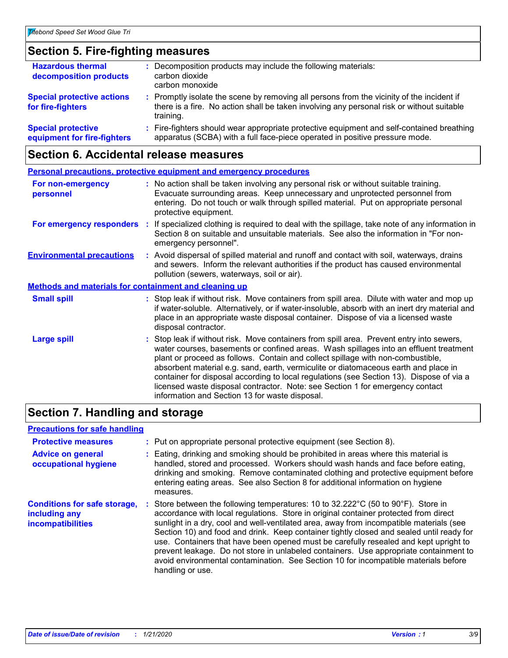### **Section 5. Fire-fighting measures**

| <b>Hazardous thermal</b><br>decomposition products       | : Decomposition products may include the following materials:<br>carbon dioxide<br>carbon monoxide                                                                                                  |
|----------------------------------------------------------|-----------------------------------------------------------------------------------------------------------------------------------------------------------------------------------------------------|
| <b>Special protective actions</b><br>for fire-fighters   | : Promptly isolate the scene by removing all persons from the vicinity of the incident if<br>there is a fire. No action shall be taken involving any personal risk or without suitable<br>training. |
| <b>Special protective</b><br>equipment for fire-fighters | : Fire-fighters should wear appropriate protective equipment and self-contained breathing<br>apparatus (SCBA) with a full face-piece operated in positive pressure mode.                            |

### **Section 6. Accidental release measures**

| <b>Personal precautions, protective equipment and emergency procedures</b> |                                                                                                                                                                                                                                                                                                                                                                                                                                                                                                                                                                                            |  |  |  |
|----------------------------------------------------------------------------|--------------------------------------------------------------------------------------------------------------------------------------------------------------------------------------------------------------------------------------------------------------------------------------------------------------------------------------------------------------------------------------------------------------------------------------------------------------------------------------------------------------------------------------------------------------------------------------------|--|--|--|
| For non-emergency<br>personnel                                             | : No action shall be taken involving any personal risk or without suitable training.<br>Evacuate surrounding areas. Keep unnecessary and unprotected personnel from<br>entering. Do not touch or walk through spilled material. Put on appropriate personal<br>protective equipment.                                                                                                                                                                                                                                                                                                       |  |  |  |
| For emergency responders                                                   | If specialized clothing is required to deal with the spillage, take note of any information in<br>÷.<br>Section 8 on suitable and unsuitable materials. See also the information in "For non-<br>emergency personnel".                                                                                                                                                                                                                                                                                                                                                                     |  |  |  |
| <b>Environmental precautions</b>                                           | : Avoid dispersal of spilled material and runoff and contact with soil, waterways, drains<br>and sewers. Inform the relevant authorities if the product has caused environmental<br>pollution (sewers, waterways, soil or air).                                                                                                                                                                                                                                                                                                                                                            |  |  |  |
| <b>Methods and materials for containment and cleaning up</b>               |                                                                                                                                                                                                                                                                                                                                                                                                                                                                                                                                                                                            |  |  |  |
| <b>Small spill</b>                                                         | : Stop leak if without risk. Move containers from spill area. Dilute with water and mop up<br>if water-soluble. Alternatively, or if water-insoluble, absorb with an inert dry material and<br>place in an appropriate waste disposal container. Dispose of via a licensed waste<br>disposal contractor.                                                                                                                                                                                                                                                                                   |  |  |  |
| <b>Large spill</b>                                                         | : Stop leak if without risk. Move containers from spill area. Prevent entry into sewers,<br>water courses, basements or confined areas. Wash spillages into an effluent treatment<br>plant or proceed as follows. Contain and collect spillage with non-combustible,<br>absorbent material e.g. sand, earth, vermiculite or diatomaceous earth and place in<br>container for disposal according to local regulations (see Section 13). Dispose of via a<br>licensed waste disposal contractor. Note: see Section 1 for emergency contact<br>information and Section 13 for waste disposal. |  |  |  |

### **Section 7. Handling and storage**

### **Precautions for safe handling**

| <b>Protective measures</b><br><b>Advice on general</b><br>occupational hygiene | : Put on appropriate personal protective equipment (see Section 8).<br>: Eating, drinking and smoking should be prohibited in areas where this material is<br>handled, stored and processed. Workers should wash hands and face before eating,<br>drinking and smoking. Remove contaminated clothing and protective equipment before<br>entering eating areas. See also Section 8 for additional information on hygiene<br>measures.                                                                                                                                                                                                                       |
|--------------------------------------------------------------------------------|------------------------------------------------------------------------------------------------------------------------------------------------------------------------------------------------------------------------------------------------------------------------------------------------------------------------------------------------------------------------------------------------------------------------------------------------------------------------------------------------------------------------------------------------------------------------------------------------------------------------------------------------------------|
| <b>Conditions for safe storage,</b><br>including any<br>incompatibilities      | Store between the following temperatures: 10 to 32.222°C (50 to 90°F). Store in<br>accordance with local regulations. Store in original container protected from direct<br>sunlight in a dry, cool and well-ventilated area, away from incompatible materials (see<br>Section 10) and food and drink. Keep container tightly closed and sealed until ready for<br>use. Containers that have been opened must be carefully resealed and kept upright to<br>prevent leakage. Do not store in unlabeled containers. Use appropriate containment to<br>avoid environmental contamination. See Section 10 for incompatible materials before<br>handling or use. |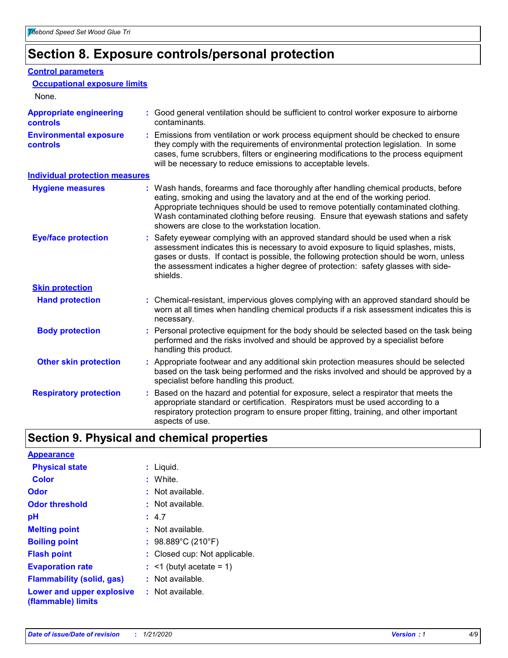### **Section 8. Exposure controls/personal protection**

#### **Control parameters**

| <b>Occupational exposure limits</b>               |                                                                                                                                                                                                                                                                                                                                                                                                   |
|---------------------------------------------------|---------------------------------------------------------------------------------------------------------------------------------------------------------------------------------------------------------------------------------------------------------------------------------------------------------------------------------------------------------------------------------------------------|
| None.                                             |                                                                                                                                                                                                                                                                                                                                                                                                   |
| <b>Appropriate engineering</b><br><b>controls</b> | : Good general ventilation should be sufficient to control worker exposure to airborne<br>contaminants.                                                                                                                                                                                                                                                                                           |
| <b>Environmental exposure</b><br><b>controls</b>  | : Emissions from ventilation or work process equipment should be checked to ensure<br>they comply with the requirements of environmental protection legislation. In some<br>cases, fume scrubbers, filters or engineering modifications to the process equipment<br>will be necessary to reduce emissions to acceptable levels.                                                                   |
| <b>Individual protection measures</b>             |                                                                                                                                                                                                                                                                                                                                                                                                   |
| <b>Hygiene measures</b>                           | : Wash hands, forearms and face thoroughly after handling chemical products, before<br>eating, smoking and using the lavatory and at the end of the working period.<br>Appropriate techniques should be used to remove potentially contaminated clothing.<br>Wash contaminated clothing before reusing. Ensure that eyewash stations and safety<br>showers are close to the workstation location. |
| <b>Eye/face protection</b>                        | : Safety eyewear complying with an approved standard should be used when a risk<br>assessment indicates this is necessary to avoid exposure to liquid splashes, mists,<br>gases or dusts. If contact is possible, the following protection should be worn, unless<br>the assessment indicates a higher degree of protection: safety glasses with side-<br>shields.                                |
| <b>Skin protection</b>                            |                                                                                                                                                                                                                                                                                                                                                                                                   |
| <b>Hand protection</b>                            | : Chemical-resistant, impervious gloves complying with an approved standard should be<br>worn at all times when handling chemical products if a risk assessment indicates this is<br>necessary.                                                                                                                                                                                                   |
| <b>Body protection</b>                            | : Personal protective equipment for the body should be selected based on the task being<br>performed and the risks involved and should be approved by a specialist before<br>handling this product.                                                                                                                                                                                               |
| <b>Other skin protection</b>                      | : Appropriate footwear and any additional skin protection measures should be selected<br>based on the task being performed and the risks involved and should be approved by a<br>specialist before handling this product.                                                                                                                                                                         |
| <b>Respiratory protection</b>                     | Based on the hazard and potential for exposure, select a respirator that meets the<br>appropriate standard or certification. Respirators must be used according to a<br>respiratory protection program to ensure proper fitting, training, and other important<br>aspects of use.                                                                                                                 |

### **Section 9. Physical and chemical properties**

| <b>Appearance</b>                                                       |                               |
|-------------------------------------------------------------------------|-------------------------------|
| <b>Physical state</b>                                                   | : Liquid.                     |
| Color                                                                   | : White.                      |
| <b>Odor</b>                                                             | $:$ Not available.            |
| <b>Odor threshold</b>                                                   | : Not available.              |
| рH                                                                      | : 4.7                         |
| <b>Melting point</b>                                                    | : Not available.              |
| <b>Boiling point</b>                                                    | : $98.889^{\circ}$ C (210°F)  |
| <b>Flash point</b>                                                      | : Closed cup: Not applicable. |
| <b>Evaporation rate</b>                                                 | $:$ <1 (butyl acetate = 1)    |
| <b>Flammability (solid, gas)</b>                                        | : Not available.              |
| <b>Lower and upper explosive : Not available.</b><br>(flammable) limits |                               |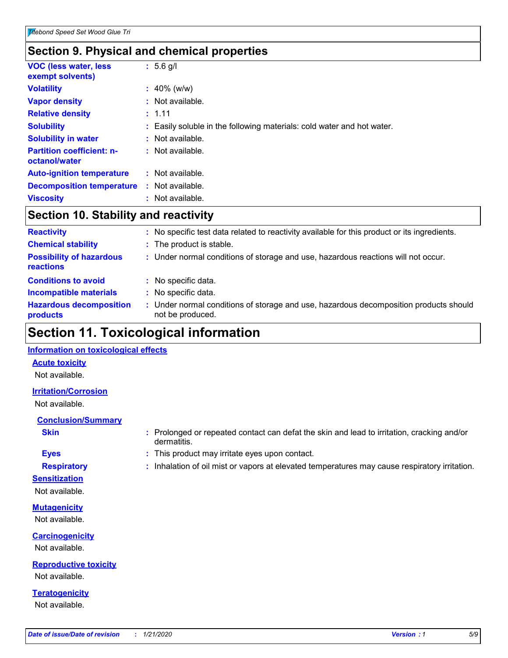### **Section 9. Physical and chemical properties**

| <b>VOC (less water, less</b><br>exempt solvents)  | $: 5.6$ g/l                                                            |
|---------------------------------------------------|------------------------------------------------------------------------|
| <b>Volatility</b>                                 | $: 40\%$ (w/w)                                                         |
| <b>Vapor density</b>                              | $:$ Not available.                                                     |
| <b>Relative density</b>                           | : 1.11                                                                 |
| <b>Solubility</b>                                 | : Easily soluble in the following materials: cold water and hot water. |
| <b>Solubility in water</b>                        | : Not available.                                                       |
| <b>Partition coefficient: n-</b><br>octanol/water | : Not available.                                                       |
| <b>Auto-ignition temperature</b>                  | : Not available.                                                       |
| <b>Decomposition temperature</b>                  | : Not available.                                                       |
| <b>Viscosity</b>                                  | : Not available.                                                       |

### **Section 10. Stability and reactivity**

| <b>Reactivity</b>                            |    | No specific test data related to reactivity available for this product or its ingredients.              |
|----------------------------------------------|----|---------------------------------------------------------------------------------------------------------|
| <b>Chemical stability</b>                    |    | : The product is stable.                                                                                |
| <b>Possibility of hazardous</b><br>reactions |    | : Under normal conditions of storage and use, hazardous reactions will not occur.                       |
| <b>Conditions to avoid</b>                   |    | : No specific data.                                                                                     |
| <b>Incompatible materials</b>                | ÷. | No specific data.                                                                                       |
| <b>Hazardous decomposition</b><br>products   |    | Under normal conditions of storage and use, hazardous decomposition products should<br>not be produced. |

### **Section 11. Toxicological information**

### **Information on toxicological effects**

#### **Acute toxicity**

Not available.

### **Irritation/Corrosion**

Not available.

### **Conclusion/Summary**

- 
- **Sensitization**

Not available.

**Mutagenicity** Not available.

**Carcinogenicity** Not available.

**Reproductive toxicity** Not available.

**Teratogenicity** Not available.

- **Skin Example 3 :** Prolonged or repeated contact can defat the skin and lead to irritation, cracking and/or dermatitis.
- **Eyes :** This product may irritate eyes upon contact.
- **Respiratory :** Inhalation of oil mist or vapors at elevated temperatures may cause respiratory irritation.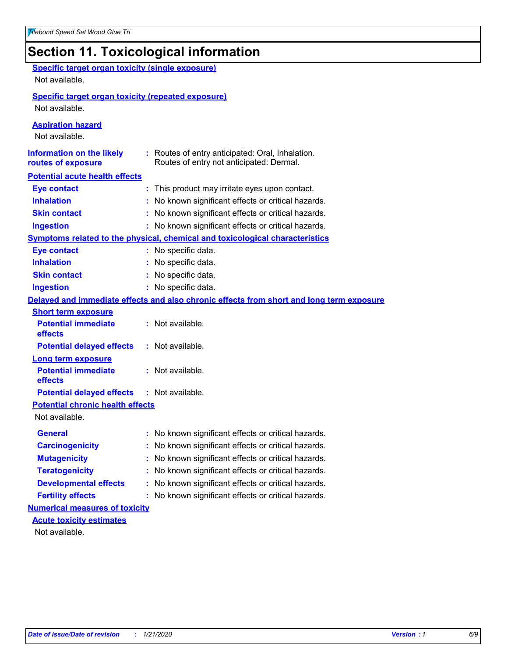### **Section 11. Toxicological information**

| <b>Specific target organ toxicity (single exposure)</b><br>Not available. |                                                                                              |
|---------------------------------------------------------------------------|----------------------------------------------------------------------------------------------|
| <b>Specific target organ toxicity (repeated exposure)</b>                 |                                                                                              |
| Not available.                                                            |                                                                                              |
| <b>Aspiration hazard</b><br>Not available.                                |                                                                                              |
| <b>Information on the likely</b><br>routes of exposure                    | : Routes of entry anticipated: Oral, Inhalation.<br>Routes of entry not anticipated: Dermal. |
| <b>Potential acute health effects</b>                                     |                                                                                              |
| <b>Eye contact</b>                                                        | : This product may irritate eyes upon contact.                                               |
| <b>Inhalation</b>                                                         | : No known significant effects or critical hazards.                                          |
| <b>Skin contact</b>                                                       | : No known significant effects or critical hazards.                                          |
| <b>Ingestion</b>                                                          | : No known significant effects or critical hazards.                                          |
|                                                                           | Symptoms related to the physical, chemical and toxicological characteristics                 |
| <b>Eye contact</b>                                                        | : No specific data.                                                                          |
| <b>Inhalation</b>                                                         | : No specific data.                                                                          |
| <b>Skin contact</b>                                                       | : No specific data.                                                                          |
| <b>Ingestion</b>                                                          | : No specific data.                                                                          |
|                                                                           | Delayed and immediate effects and also chronic effects from short and long term exposure     |
| <b>Short term exposure</b>                                                |                                                                                              |
| <b>Potential immediate</b><br>effects                                     | : Not available.                                                                             |
| <b>Potential delayed effects</b>                                          | : Not available.                                                                             |
| <b>Long term exposure</b>                                                 |                                                                                              |
| <b>Potential immediate</b><br>effects                                     | : Not available.                                                                             |
| <b>Potential delayed effects</b>                                          | : Not available.                                                                             |
| <b>Potential chronic health effects</b><br>Not available.                 |                                                                                              |
| <b>General</b>                                                            | : No known significant effects or critical hazards.                                          |
| <b>Carcinogenicity</b>                                                    | : No known significant effects or critical hazards.                                          |
| <b>Mutagenicity</b>                                                       | No known significant effects or critical hazards.                                            |
|                                                                           |                                                                                              |
| <b>Teratogenicity</b>                                                     | No known significant effects or critical hazards.                                            |
| <b>Developmental effects</b>                                              | No known significant effects or critical hazards.                                            |
| <b>Fertility effects</b>                                                  | : No known significant effects or critical hazards.                                          |
| <b>Numerical measures of toxicity</b><br><b>Acute toxicity estimates</b>  |                                                                                              |
| Not available.                                                            |                                                                                              |
|                                                                           |                                                                                              |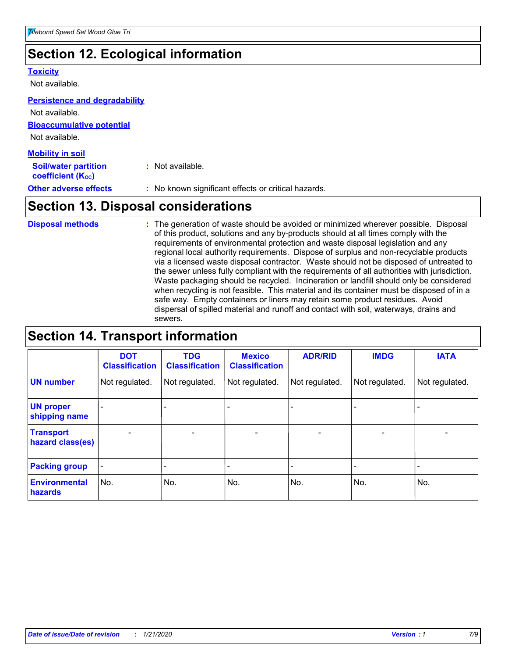### **Section 12. Ecological information**

#### **Toxicity**

Not available.

#### **Persistence and degradability**

**Bioaccumulative potential** Not available. **Mobility in soil** Not available.

| <b>MODILITY IN SOIL</b>                                       |                                                     |
|---------------------------------------------------------------|-----------------------------------------------------|
| <b>Soil/water partition</b><br>coefficient (K <sub>oc</sub> ) | : Not available.                                    |
| <b>Other adverse effects</b>                                  | : No known significant effects or critical hazards. |

### **Section 13. Disposal considerations**

The generation of waste should be avoided or minimized wherever possible. Disposal of this product, solutions and any by-products should at all times comply with the requirements of environmental protection and waste disposal legislation and any regional local authority requirements. Dispose of surplus and non-recyclable products via a licensed waste disposal contractor. Waste should not be disposed of untreated to the sewer unless fully compliant with the requirements of all authorities with jurisdiction. Waste packaging should be recycled. Incineration or landfill should only be considered when recycling is not feasible. This material and its container must be disposed of in a safe way. Empty containers or liners may retain some product residues. Avoid dispersal of spilled material and runoff and contact with soil, waterways, drains and sewers. **Disposal methods :**

### **Section 14. Transport information**

|                                      | <b>DOT</b><br><b>Classification</b> | <b>TDG</b><br><b>Classification</b> | <b>Mexico</b><br><b>Classification</b> | <b>ADR/RID</b>               | <b>IMDG</b>              | <b>IATA</b>    |
|--------------------------------------|-------------------------------------|-------------------------------------|----------------------------------------|------------------------------|--------------------------|----------------|
| <b>UN number</b>                     | Not regulated.                      | Not regulated.                      | Not regulated.                         | Not regulated.               | Not regulated.           | Not regulated. |
| <b>UN proper</b><br>shipping name    |                                     |                                     |                                        |                              |                          |                |
| <b>Transport</b><br>hazard class(es) | $\overline{\phantom{m}}$            | $\overline{\phantom{0}}$            | $\overline{\phantom{0}}$               | $\qquad \qquad \blacksquare$ | $\overline{\phantom{0}}$ |                |
| <b>Packing group</b>                 | -                                   |                                     |                                        |                              |                          |                |
| <b>Environmental</b><br>hazards      | No.                                 | No.                                 | No.                                    | No.                          | No.                      | No.            |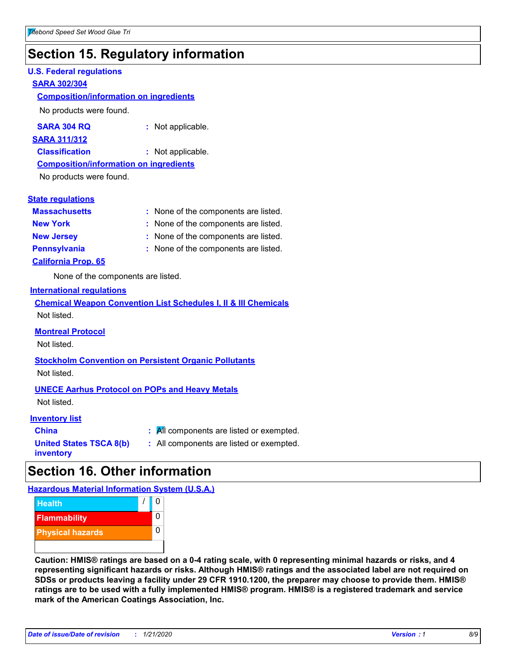### **Section 15. Regulatory information**

#### **U.S. Federal regulations**

#### **SARA 302/304**

#### **Composition/information on ingredients**

No products were found.

| SARA 304 RQ | Not applicable. |
|-------------|-----------------|
|-------------|-----------------|

#### **SARA 311/312**

**Classification :** Not applicable.

### **Composition/information on ingredients**

No products were found.

#### **State regulations**

| <b>Massachusetts</b>       | : None of the components are listed. |
|----------------------------|--------------------------------------|
| <b>New York</b>            | : None of the components are listed. |
| <b>New Jersey</b>          | : None of the components are listed. |
| <b>Pennsylvania</b>        | : None of the components are listed. |
| <b>California Prop. 65</b> |                                      |

None of the components are listed.

#### **International regulations**

|             | <b>Chemical Weapon Convention List Schedules I, II &amp; III Chemicals</b> |  |  |  |
|-------------|----------------------------------------------------------------------------|--|--|--|
| Not listed. |                                                                            |  |  |  |

#### **Montreal Protocol**

Not listed.

#### **Stockholm Convention on Persistent Organic Pollutants** Not listed.

#### **UNECE Aarhus Protocol on POPs and Heavy Metals**

Not listed.

#### **Inventory list**

| <b>China</b>                   | $\mathbf{R}$ . All components are listed or exempted. |
|--------------------------------|-------------------------------------------------------|
| <b>United States TSCA 8(b)</b> | : All components are listed or exempted.              |
| inventory                      |                                                       |

**:** All components are listed or exempted.

### **Section 16. Other information**

**Hazardous Material Information System (U.S.A.)**



**Caution: HMIS® ratings are based on a 0-4 rating scale, with 0 representing minimal hazards or risks, and 4 representing significant hazards or risks. Although HMIS® ratings and the associated label are not required on SDSs or products leaving a facility under 29 CFR 1910.1200, the preparer may choose to provide them. HMIS® ratings are to be used with a fully implemented HMIS® program. HMIS® is a registered trademark and service mark of the American Coatings Association, Inc.**